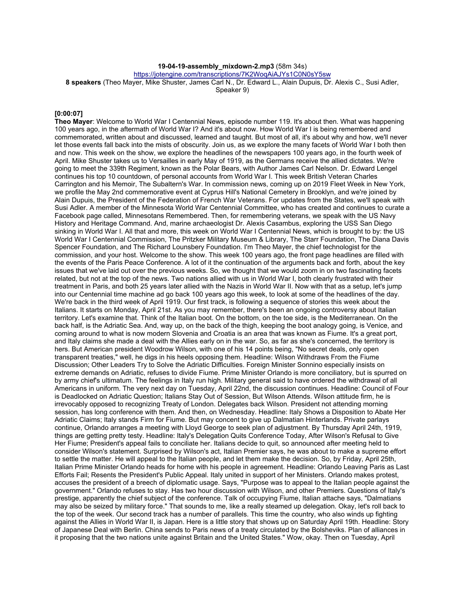### **19-04-19-assembly\_mixdown-2.mp3** (58m 34s)

https://jotengine.com/transcriptions/7K2WoqAiAJYs1C0N0sY5sw

**8 speakers** (Theo Mayer, Mike Shuster, James Carl N., Dr. Edward L., Alain Dupuis, Dr. Alexis C., Susi Adler,

Speaker 9)

#### **[0:00:07]**

**Theo Mayer**: Welcome to World War I Centennial News, episode number 119. It's about then. What was happening 100 years ago, in the aftermath of World War I? And it's about now. How World War I is being remembered and commemorated, written about and discussed, learned and taught. But most of all, it's about why and how, we'll never let those events fall back into the mists of obscurity. Join us, as we explore the many facets of World War I both then and now. This week on the show, we explore the headlines of the newspapers 100 years ago, in the fourth week of April. Mike Shuster takes us to Versailles in early May of 1919, as the Germans receive the allied dictates. We're going to meet the 339th Regiment, known as the Polar Bears, with Author James Carl Nelson. Dr. Edward Lengel continues his top 10 countdown, of personal accounts from World War I. This week British Veteran Charles Carrington and his Memoir, The Subaltern's War. In commission news, coming up on 2019 Fleet Week in New York, we profile the May 2nd commemorative event at Cyprus Hill's National Cemetery in Brooklyn, and we're joined by Alain Dupuis, the President of the Federation of French War Veterans. For updates from the States, we'll speak with Susi Adler. A member of the Minnesota World War Centennial Committee, who has created and continues to curate a Facebook page called, Minnesotans Remembered. Then, for remembering veterans, we speak with the US Navy History and Heritage Command. And, marine archaeologist Dr. Alexis Casambus, exploring the USS San Diego sinking in World War I. All that and more, this week on World War I Centennial News, which is brought to by: the US World War I Centennial Commission, The Pritzker Military Museum & Library, The Starr Foundation, The Diana Davis Spencer Foundation, and The Richard Lounsbery Foundation. I'm Theo Mayer, the chief technologist for the commission, and your host. Welcome to the show. This week 100 years ago, the front page headlines are filled with the events of the Paris Peace Conference. A lot of it the continuation of the arguments back and forth, about the key issues that we've laid out over the previous weeks. So, we thought that we would zoom in on two fascinating facets related, but not at the top of the news. Two nations allied with us in World War I, both clearly frustrated with their treatment in Paris, and both 25 years later allied with the Nazis in World War II. Now with that as a setup, let's jump into our Centennial time machine ad go back 100 years ago this week, to look at some of the headlines of the day. We're back in the third week of April 1919. Our first track, is following a sequence of stories this week about the Italians. It starts on Monday, April 21st. As you may remember, there's been an ongoing controversy about Italian territory. Let's examine that. Think of the Italian boot. On the bottom, on the toe side, is the Mediterranean. On the back half, is the Adriatic Sea. And, way up, on the back of the thigh, keeping the boot analogy going, is Venice, and coming around to what is now modern Slovenia and Croatia is an area that was known as Fiume. It's a great port, and Italy claims she made a deal with the Allies early on in the war. So, as far as she's concerned, the territory is hers. But American president Woodrow Wilson, with one of his 14 points being, "No secret deals, only open transparent treaties," well, he digs in his heels opposing them. Headline: Wilson Withdraws From the Fiume Discussion; Other Leaders Try to Solve the Adriatic Difficulties. Foreign Minister Sonnino especially insists on extreme demands on Adriatic, refuses to divide Fiume. Prime Minister Orlando is more conciliatory, but is spurred on by army chief's ultimatum. The feelings in Italy run high. Military general said to have ordered the withdrawal of all Americans in uniform. The very next day on Tuesday, April 22nd, the discussion continues. Headline: Council of Four is Deadlocked on Adriatic Question; Italians Stay Out of Session, But Wilson Attends. Wilson attitude firm, he is irrevocably opposed to recognizing Treaty of London. Delegates back Wilson. President not attending morning session, has long conference with them. And then, on Wednesday. Headline: Italy Shows a Disposition to Abate Her Adriatic Claims; Italy stands Firm for Fiume. But may concent to give up Dalmatian Hinterlands. Private parlays continue, Orlando arranges a meeting with Lloyd George to seek plan of adjustment. By Thursday April 24th, 1919, things are getting pretty testy. Headline: Italy's Delegation Quits Conference Today, After Wilson's Refusal to Give Her Fiume; President's appeal fails to conciliate her. Italians decide to quit, so announced after meeting held to consider Wilson's statement. Surprised by Wilson's act, Italian Premier says, he was about to make a supreme effort to settle the matter. He will appeal to the Italian people, and let them make the decision. So, by Friday, April 25th, Italian Prime Minister Orlando heads for home with his people in agreement. Headline: Orlando Leaving Paris as Last Efforts Fail; Resents the President's Public Appeal. Italy united in support of her Ministers. Orlando makes protest, accuses the president of a breech of diplomatic usage. Says, "Purpose was to appeal to the Italian people against the government." Orlando refuses to stay. Has two hour discussion with Wilson, and other Premiers. Questions of Italy's prestige, apparently the chief subject of the conference. Talk of occupying Fiume, Italian attache says, "Dalmatians may also be seized by military force." That sounds to me, like a really steamed up delegation. Okay, let's roll back to the top of the week. Our second track has a number of parallels. This time the country, who also winds up fighting against the Allies in World War II, is Japan. Here is a little story that shows up on Saturday April 19th. Headline: Story of Japanese Deal with Berlin. China sends to Paris news of a treaty circulated by the Bolsheviks. Plan of alliances in it proposing that the two nations unite against Britain and the United States." Wow, okay. Then on Tuesday, April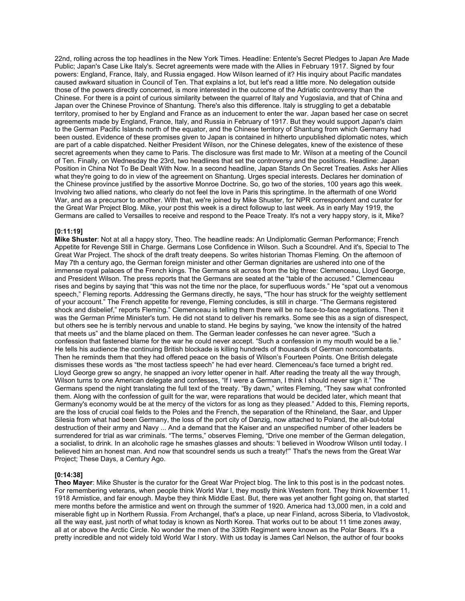22nd, rolling across the top headlines in the New York Times. Headline: Entente's Secret Pledges to Japan Are Made Public; Japan's Case Like Italy's. Secret agreements were made with the Allies in February 1917. Signed by four powers: England, France, Italy, and Russia engaged. How Wilson learned of it? His inquiry about Pacific mandates caused awkward situation in Council of Ten. That explains a lot, but let's read a little more. No delegation outside those of the powers directly concerned, is more interested in the outcome of the Adriatic controversy than the Chinese. For there is a point of curious similarity between the quarrel of Italy and Yugoslavia, and that of China and Japan over the Chinese Province of Shantung. There's also this difference. Italy is struggling to get a debatable territory, promised to her by England and France as an inducement to enter the war. Japan based her case on secret agreements made by England, France, Italy, and Russia in February of 1917. But they would support Japan's claim to the German Pacific Islands north of the equator, and the Chinese territory of Shantung from which Germany had been ousted. Evidence of these promises given to Japan is contained in hitherto unpublished diplomatic notes, which are part of a cable dispatched. Neither President Wilson, nor the Chinese delegates, knew of the existence of these secret agreements when they came to Paris. The disclosure was first made to Mr. Wilson at a meeting of the Council of Ten. Finally, on Wednesday the 23rd, two headlines that set the controversy and the positions. Headline: Japan Position in China Not To Be Dealt With Now. In a second headline, Japan Stands On Secret Treaties. Asks her Allies what they're going to do in view of the agreement on Shantung. Urges special interests. Declares her domination of the Chinese province justified by the assortive Monroe Doctrine. So, go two of the stories, 100 years ago this week. Involving two allied nations, who clearly do not feel the love in Paris this springtime. In the aftermath of one World War, and as a precursor to another. With that, we're joined by Mike Shuster, for NPR correspondent and curator for the Great War Project Blog. Mike, your post this week is a direct followup to last week. As in early May 1919, the Germans are called to Versailles to receive and respond to the Peace Treaty. It's not a very happy story, is it, Mike?

#### **[0:11:19]**

**Mike Shuster**: Not at all a happy story, Theo. The headline reads: An Undiplomatic German Performance; French Appetite for Revenge Still in Charge. Germans Lose Confidence in Wilson. Such a Scoundrel. And it's, Special to The Great War Project. The shock of the draft treaty deepens. So writes historian Thomas Fleming. On the afternoon of May 7th a century ago, the German foreign minister and other German dignitaries are ushered into one of the immense royal palaces of the French kings. The Germans sit across from the big three: Clemenceau, Lloyd George, and President Wilson. The press reports that the Germans are seated at the "table of the accused." Clemenceau rises and begins by saying that "this was not the time nor the place, for superfluous words." He "spat out a venomous speech," Fleming reports. Addressing the Germans directly, he says, "The hour has struck for the weighty settlement of your account." The French appetite for revenge, Fleming concludes, is still in charge. "The Germans registered shock and disbelief," reports Fleming." Clemenceau is telling them there will be no face-to-face negotiations. Then it was the German Prime Minister's turn. He did not stand to deliver his remarks. Some see this as a sign of disrespect, but others see he is terribly nervous and unable to stand. He begins by saying, "we know the intensity of the hatred that meets us" and the blame placed on them. The German leader confesses he can never agree. "Such a confession that fastened blame for the war he could never accept. "Such a confession in my mouth would be a lie." He tells his audience the continuing British blockade is killing hundreds of thousands of German noncombatants. Then he reminds them that they had offered peace on the basis of Wilson's Fourteen Points. One British delegate dismisses these words as "the most tactless speech" he had ever heard. Clemenceau's face turned a bright red. Lloyd George grew so angry, he snapped an ivory letter opener in half. After reading the treaty all the way through, Wilson turns to one American delegate and confesses, "If I were a German, I think I should never sign it." The Germans spend the night translating the full text of the treaty. "By dawn," writes Fleming, "They saw what confronted them. Along with the confession of guilt for the war, were reparations that would be decided later, which meant that Germany's economy would be at the mercy of the victors for as long as they pleased." Added to this, Fleming reports, are the loss of crucial coal fields to the Poles and the French, the separation of the Rhineland, the Saar, and Upper Silesia from what had been Germany, the loss of the port city of Danzig, now attached to Poland, the all-but-total destruction of their army and Navy ... And a demand that the Kaiser and an unspecified number of other leaders be surrendered for trial as war criminals. "The terms," observes Fleming, "Drive one member of the German delegation, a socialist, to drink. In an alcoholic rage he smashes glasses and shouts: 'I believed in Woodrow Wilson until today. I believed him an honest man. And now that scoundrel sends us such a treaty!'" That's the news from the Great War Project; These Days, a Century Ago.

#### **[0:14:38]**

**Theo Mayer**: Mike Shuster is the curator for the Great War Project blog. The link to this post is in the podcast notes. For remembering veterans, when people think World War I, they mostly think Western front. They think November 11, 1918 Armistice, and fair enough. Maybe they think Middle East. But, there was yet another fight going on, that started mere months before the armistice and went on through the summer of 1920. America had 13,000 men, in a cold and miserable fight up in Northern Russia. From Archangel, that's a place, up near Finland, across Siberia, to Vladivostok, all the way east, just north of what today is known as North Korea. That works out to be about 11 time zones away, all at or above the Arctic Circle. No wonder the men of the 339th Regiment were known as the Polar Bears. It's a pretty incredible and not widely told World War I story. With us today is James Carl Nelson, the author of four books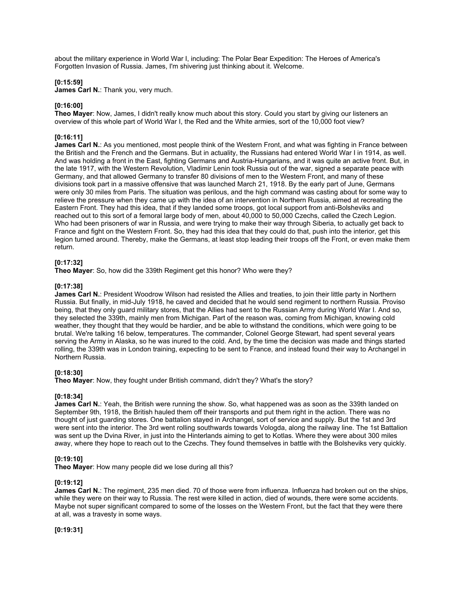about the military experience in World War I, including: The Polar Bear Expedition: The Heroes of America's Forgotten Invasion of Russia. James, I'm shivering just thinking about it. Welcome.

#### **[0:15:59]**

**James Carl N.**: Thank you, very much.

### **[0:16:00]**

**Theo Mayer**: Now, James, I didn't really know much about this story. Could you start by giving our listeners an overview of this whole part of World War I, the Red and the White armies, sort of the 10,000 foot view?

#### **[0:16:11]**

**James Carl N.:** As you mentioned, most people think of the Western Front, and what was fighting in France between the British and the French and the Germans. But in actuality, the Russians had entered World War I in 1914, as well. And was holding a front in the East, fighting Germans and Austria-Hungarians, and it was quite an active front. But, in the late 1917, with the Western Revolution, Vladimir Lenin took Russia out of the war, signed a separate peace with Germany, and that allowed Germany to transfer 80 divisions of men to the Western Front, and many of these divisions took part in a massive offensive that was launched March 21, 1918. By the early part of June, Germans were only 30 miles from Paris. The situation was perilous, and the high command was casting about for some way to relieve the pressure when they came up with the idea of an intervention in Northern Russia, aimed at recreating the Eastern Front. They had this idea, that if they landed some troops, got local support from anti-Bolsheviks and reached out to this sort of a femoral large body of men, about 40,000 to 50,000 Czechs, called the Czech Legion. Who had been prisoners of war in Russia, and were trying to make their way through Siberia, to actually get back to France and fight on the Western Front. So, they had this idea that they could do that, push into the interior, get this legion turned around. Thereby, make the Germans, at least stop leading their troops off the Front, or even make them return.

#### **[0:17:32]**

**Theo Mayer**: So, how did the 339th Regiment get this honor? Who were they?

#### **[0:17:38]**

James Carl N.: President Woodrow Wilson had resisted the Allies and treaties, to join their little party in Northern Russia. But finally, in mid-July 1918, he caved and decided that he would send regiment to northern Russia. Proviso being, that they only guard military stores, that the Allies had sent to the Russian Army during World War I. And so, they selected the 339th, mainly men from Michigan. Part of the reason was, coming from Michigan, knowing cold weather, they thought that they would be hardier, and be able to withstand the conditions, which were going to be brutal. We're talking 16 below, temperatures. The commander, Colonel George Stewart, had spent several years serving the Army in Alaska, so he was inured to the cold. And, by the time the decision was made and things started rolling, the 339th was in London training, expecting to be sent to France, and instead found their way to Archangel in Northern Russia.

#### **[0:18:30]**

**Theo Mayer**: Now, they fought under British command, didn't they? What's the story?

#### **[0:18:34]**

**James Carl N.**: Yeah, the British were running the show. So, what happened was as soon as the 339th landed on September 9th, 1918, the British hauled them off their transports and put them right in the action. There was no thought of just guarding stores. One battalion stayed in Archangel, sort of service and supply. But the 1st and 3rd were sent into the interior. The 3rd went rolling southwards towards Vologda, along the railway line. The 1st Battalion was sent up the Dvina River, in just into the Hinterlands aiming to get to Kotlas. Where they were about 300 miles away, where they hope to reach out to the Czechs. They found themselves in battle with the Bolsheviks very quickly.

#### **[0:19:10]**

**Theo Mayer**: How many people did we lose during all this?

#### **[0:19:12]**

**James Carl N.**: The regiment, 235 men died. 70 of those were from influenza. Influenza had broken out on the ships, while they were on their way to Russia. The rest were killed in action, died of wounds, there were some accidents. Maybe not super significant compared to some of the losses on the Western Front, but the fact that they were there at all, was a travesty in some ways.

**[0:19:31]**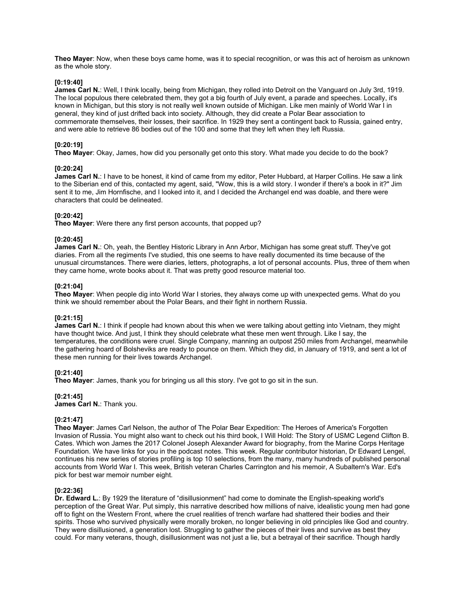**Theo Mayer**: Now, when these boys came home, was it to special recognition, or was this act of heroism as unknown as the whole story.

#### **[0:19:40]**

**James Carl N.**: Well, I think locally, being from Michigan, they rolled into Detroit on the Vanguard on July 3rd, 1919. The local populous there celebrated them, they got a big fourth of July event, a parade and speeches. Locally, it's known in Michigan, but this story is not really well known outside of Michigan. Like men mainly of World War I in general, they kind of just drifted back into society. Although, they did create a Polar Bear association to commemorate themselves, their losses, their sacrifice. In 1929 they sent a contingent back to Russia, gained entry, and were able to retrieve 86 bodies out of the 100 and some that they left when they left Russia.

## **[0:20:19]**

**Theo Mayer**: Okay, James, how did you personally get onto this story. What made you decide to do the book?

#### **[0:20:24]**

James Carl N.: I have to be honest, it kind of came from my editor, Peter Hubbard, at Harper Collins. He saw a link to the Siberian end of this, contacted my agent, said, "Wow, this is a wild story. I wonder if there's a book in it?" Jim sent it to me, Jim Hornfische, and I looked into it, and I decided the Archangel end was doable, and there were characters that could be delineated.

## **[0:20:42]**

**Theo Mayer**: Were there any first person accounts, that popped up?

## **[0:20:45]**

**James Carl N.**: Oh, yeah, the Bentley Historic Library in Ann Arbor, Michigan has some great stuff. They've got diaries. From all the regiments I've studied, this one seems to have really documented its time because of the unusual circumstances. There were diaries, letters, photographs, a lot of personal accounts. Plus, three of them when they came home, wrote books about it. That was pretty good resource material too.

#### **[0:21:04]**

**Theo Mayer**: When people dig into World War I stories, they always come up with unexpected gems. What do you think we should remember about the Polar Bears, and their fight in northern Russia.

#### **[0:21:15]**

**James Carl N.**: I think if people had known about this when we were talking about getting into Vietnam, they might have thought twice. And just, I think they should celebrate what these men went through. Like I say, the temperatures, the conditions were cruel. Single Company, manning an outpost 250 miles from Archangel, meanwhile the gathering hoard of Bolsheviks are ready to pounce on them. Which they did, in January of 1919, and sent a lot of these men running for their lives towards Archangel.

#### **[0:21:40]**

**Theo Mayer**: James, thank you for bringing us all this story. I've got to go sit in the sun.

**[0:21:45] James Carl N.**: Thank you.

## **[0:21:47]**

**Theo Mayer**: James Carl Nelson, the author of The Polar Bear Expedition: The Heroes of America's Forgotten Invasion of Russia. You might also want to check out his third book, I Will Hold: The Story of USMC Legend Clifton B. Cates. Which won James the 2017 Colonel Joseph Alexander Award for biography, from the Marine Corps Heritage Foundation. We have links for you in the podcast notes. This week. Regular contributor historian, Dr Edward Lengel, continues his new series of stories profiling is top 10 selections, from the many, many hundreds of published personal accounts from World War I. This week, British veteran Charles Carrington and his memoir, A Subaltern's War. Ed's pick for best war memoir number eight.

#### **[0:22:36]**

**Dr. Edward L.**: By 1929 the literature of "disillusionment" had come to dominate the English-speaking world's perception of the Great War. Put simply, this narrative described how millions of naive, idealistic young men had gone off to fight on the Western Front, where the cruel realities of trench warfare had shattered their bodies and their spirits. Those who survived physically were morally broken, no longer believing in old principles like God and country. They were disillusioned, a generation lost. Struggling to gather the pieces of their lives and survive as best they could. For many veterans, though, disillusionment was not just a lie, but a betrayal of their sacrifice. Though hardly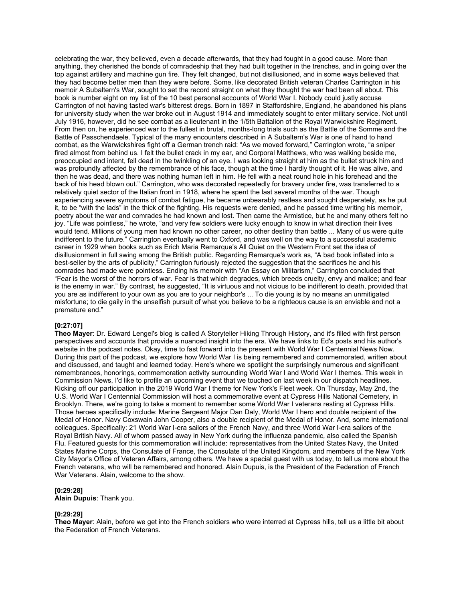celebrating the war, they believed, even a decade afterwards, that they had fought in a good cause. More than anything, they cherished the bonds of comradeship that they had built together in the trenches, and in going over the top against artillery and machine gun fire. They felt changed, but not disillusioned, and in some ways believed that they had become better men than they were before. Some, like decorated British veteran Charles Carrington in his memoir A Subaltern's War, sought to set the record straight on what they thought the war had been all about. This book is number eight on my list of the 10 best personal accounts of World War I. Nobody could justly accuse Carrington of not having tasted war's bitterest dregs. Born in 1897 in Staffordshire, England, he abandoned his plans for university study when the war broke out in August 1914 and immediately sought to enter military service. Not until July 1916, however, did he see combat as a lieutenant in the 1/5th Battalion of the Royal Warwickshire Regiment. From then on, he experienced war to the fullest in brutal, months-long trials such as the Battle of the Somme and the Battle of Passchendaele. Typical of the many encounters described in A Subaltern's War is one of hand to hand combat, as the Warwickshires fight off a German trench raid: "As we moved forward," Carrington wrote, "a sniper fired almost from behind us. I felt the bullet crack in my ear, and Corporal Matthews, who was walking beside me, preoccupied and intent, fell dead in the twinkling of an eye. I was looking straight at him as the bullet struck him and was profoundly affected by the remembrance of his face, though at the time I hardly thought of it. He was alive, and then he was dead, and there was nothing human left in him. He fell with a neat round hole in his forehead and the back of his head blown out." Carrington, who was decorated repeatedly for bravery under fire, was transferred to a relatively quiet sector of the Italian front in 1918, where he spent the last several months of the war. Though experiencing severe symptoms of combat fatigue, he became unbearably restless and sought desperately, as he put it, to be "with the lads" in the thick of the fighting. His requests were denied, and he passed time writing his memoir, poetry about the war and comrades he had known and lost. Then came the Armistice, but he and many others felt no joy. "Life was pointless," he wrote, "and very few soldiers were lucky enough to know in what direction their lives would tend. Millions of young men had known no other career, no other destiny than battle ... Many of us were quite indifferent to the future." Carrington eventually went to Oxford, and was well on the way to a successful academic career in 1929 when books such as Erich Maria Remarque's All Quiet on the Western Front set the idea of disillusionment in full swing among the British public. Regarding Remarque's work as, "A bad book inflated into a best-seller by the arts of publicity," Carrington furiously rejected the suggestion that the sacrifices he and his comrades had made were pointless. Ending his memoir with "An Essay on Militarism," Carrington concluded that "Fear is the worst of the horrors of war. Fear is that which degrades, which breeds cruelty, envy and malice; and fear is the enemy in war." By contrast, he suggested, "It is virtuous and not vicious to be indifferent to death, provided that you are as indifferent to your own as you are to your neighbor's ... To die young is by no means an unmitigated misfortune; to die gaily in the unselfish pursuit of what you believe to be a righteous cause is an enviable and not a premature end."

### **[0:27:07]**

**Theo Mayer**: Dr. Edward Lengel's blog is called A Storyteller Hiking Through History, and it's filled with first person perspectives and accounts that provide a nuanced insight into the era. We have links to Ed's posts and his author's website in the podcast notes. Okay, time to fast forward into the present with World War I Centennial News Now. During this part of the podcast, we explore how World War I is being remembered and commemorated, written about and discussed, and taught and learned today. Here's where we spotlight the surprisingly numerous and significant remembrances, honorings, commemoration activity surrounding World War I and World War I themes. This week in Commission News, I'd like to profile an upcoming event that we touched on last week in our dispatch headlines. Kicking off our participation in the 2019 World War I theme for New York's Fleet week. On Thursday, May 2nd, the U.S. World War I Centennial Commission will host a commemorative event at Cypress Hills National Cemetery, in Brooklyn. There, we're going to take a moment to remember some World War I veterans resting at Cypress Hills. Those heroes specifically include: Marine Sergeant Major Dan Daly, World War I hero and double recipient of the Medal of Honor. Navy Coxswain John Cooper, also a double recipient of the Medal of Honor. And, some international colleagues. Specifically: 21 World War I-era sailors of the French Navy, and three World War I-era sailors of the Royal British Navy. All of whom passed away in New York during the influenza pandemic, also called the Spanish Flu. Featured guests for this commemoration will include: representatives from the United States Navy, the United States Marine Corps, the Consulate of France, the Consulate of the United Kingdom, and members of the New York City Mayor's Office of Veteran Affairs, among others. We have a special guest with us today, to tell us more about the French veterans, who will be remembered and honored. Alain Dupuis, is the President of the Federation of French War Veterans. Alain, welcome to the show.

#### **[0:29:28]**

**Alain Dupuis**: Thank you.

#### **[0:29:29]**

**Theo Mayer**: Alain, before we get into the French soldiers who were interred at Cypress hills, tell us a little bit about the Federation of French Veterans.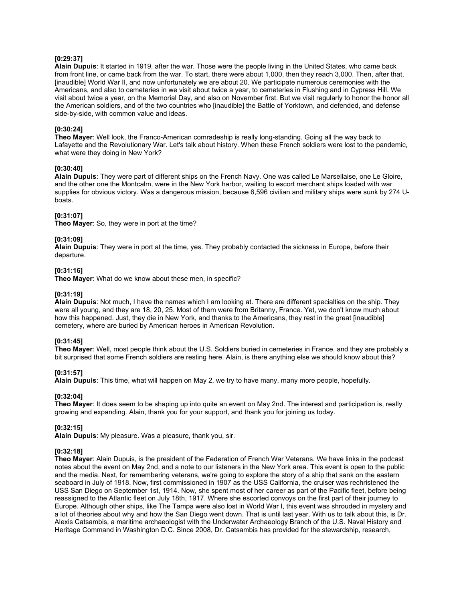### **[0:29:37]**

**Alain Dupuis**: It started in 1919, after the war. Those were the people living in the United States, who came back from front line, or came back from the war. To start, there were about 1,000, then they reach 3,000. Then, after that, [inaudible] World War II, and now unfortunately we are about 20. We participate numerous ceremonies with the Americans, and also to cemeteries in we visit about twice a year, to cemeteries in Flushing and in Cypress Hill. We visit about twice a year, on the Memorial Day, and also on November first. But we visit regularly to honor the honor all the American soldiers, and of the two countries who [inaudible] the Battle of Yorktown, and defended, and defense side-by-side, with common value and ideas.

# **[0:30:24]**

**Theo Mayer**: Well look, the Franco-American comradeship is really long-standing. Going all the way back to Lafayette and the Revolutionary War. Let's talk about history. When these French soldiers were lost to the pandemic, what were they doing in New York?

#### **[0:30:40]**

**Alain Dupuis**: They were part of different ships on the French Navy. One was called Le Marsellaise, one Le Gloire, and the other one the Montcalm, were in the New York harbor, waiting to escort merchant ships loaded with war supplies for obvious victory. Was a dangerous mission, because 6,596 civilian and military ships were sunk by 274 Uboats.

## **[0:31:07]**

**Theo Mayer**: So, they were in port at the time?

## **[0:31:09]**

**Alain Dupuis**: They were in port at the time, yes. They probably contacted the sickness in Europe, before their departure.

#### **[0:31:16]**

**Theo Mayer**: What do we know about these men, in specific?

## **[0:31:19]**

**Alain Dupuis**: Not much, I have the names which I am looking at. There are different specialties on the ship. They were all young, and they are 18, 20, 25. Most of them were from Britanny, France. Yet, we don't know much about how this happened. Just, they die in New York, and thanks to the Americans, they rest in the great [inaudible] cemetery, where are buried by American heroes in American Revolution.

## **[0:31:45]**

**Theo Mayer**: Well, most people think about the U.S. Soldiers buried in cemeteries in France, and they are probably a bit surprised that some French soldiers are resting here. Alain, is there anything else we should know about this?

#### **[0:31:57]**

**Alain Dupuis**: This time, what will happen on May 2, we try to have many, many more people, hopefully.

# **[0:32:04]**

**Theo Mayer**: It does seem to be shaping up into quite an event on May 2nd. The interest and participation is, really growing and expanding. Alain, thank you for your support, and thank you for joining us today.

## **[0:32:15]**

**Alain Dupuis**: My pleasure. Was a pleasure, thank you, sir.

#### **[0:32:18]**

**Theo Mayer**: Alain Dupuis, is the president of the Federation of French War Veterans. We have links in the podcast notes about the event on May 2nd, and a note to our listeners in the New York area. This event is open to the public and the media. Next, for remembering veterans, we're going to explore the story of a ship that sank on the eastern seaboard in July of 1918. Now, first commissioned in 1907 as the USS California, the cruiser was rechristened the USS San Diego on September 1st, 1914. Now, she spent most of her career as part of the Pacific fleet, before being reassigned to the Atlantic fleet on July 18th, 1917. Where she escorted convoys on the first part of their journey to Europe. Although other ships, like The Tampa were also lost in World War I, this event was shrouded in mystery and a lot of theories about why and how the San Diego went down. That is until last year. With us to talk about this, is Dr. Alexis Catsambis, a maritime archaeologist with the Underwater Archaeology Branch of the U.S. Naval History and Heritage Command in Washington D.C. Since 2008, Dr. Catsambis has provided for the stewardship, research,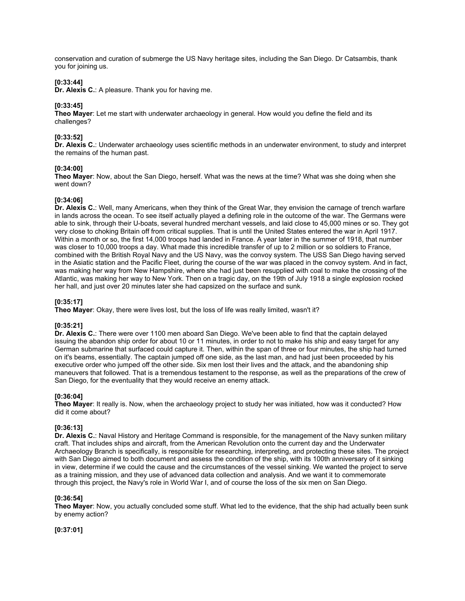conservation and curation of submerge the US Navy heritage sites, including the San Diego. Dr Catsambis, thank you for joining us.

#### **[0:33:44]**

**Dr. Alexis C.**: A pleasure. Thank you for having me.

## **[0:33:45]**

**Theo Mayer**: Let me start with underwater archaeology in general. How would you define the field and its challenges?

## **[0:33:52]**

**Dr. Alexis C.**: Underwater archaeology uses scientific methods in an underwater environment, to study and interpret the remains of the human past.

#### **[0:34:00]**

**Theo Mayer**: Now, about the San Diego, herself. What was the news at the time? What was she doing when she went down?

#### **[0:34:06]**

**Dr. Alexis C.**: Well, many Americans, when they think of the Great War, they envision the carnage of trench warfare in lands across the ocean. To see itself actually played a defining role in the outcome of the war. The Germans were able to sink, through their U-boats, several hundred merchant vessels, and laid close to 45,000 mines or so. They got very close to choking Britain off from critical supplies. That is until the United States entered the war in April 1917. Within a month or so, the first 14,000 troops had landed in France. A year later in the summer of 1918, that number was closer to 10,000 troops a day. What made this incredible transfer of up to 2 million or so soldiers to France, combined with the British Royal Navy and the US Navy, was the convoy system. The USS San Diego having served in the Asiatic station and the Pacific Fleet, during the course of the war was placed in the convoy system. And in fact, was making her way from New Hampshire, where she had just been resupplied with coal to make the crossing of the Atlantic, was making her way to New York. Then on a tragic day, on the 19th of July 1918 a single explosion rocked her hall, and just over 20 minutes later she had capsized on the surface and sunk.

### **[0:35:17]**

**Theo Mayer**: Okay, there were lives lost, but the loss of life was really limited, wasn't it?

## **[0:35:21]**

**Dr. Alexis C.**: There were over 1100 men aboard San Diego. We've been able to find that the captain delayed issuing the abandon ship order for about 10 or 11 minutes, in order to not to make his ship and easy target for any German submarine that surfaced could capture it. Then, within the span of three or four minutes, the ship had turned on it's beams, essentially. The captain jumped off one side, as the last man, and had just been proceeded by his executive order who jumped off the other side. Six men lost their lives and the attack, and the abandoning ship maneuvers that followed. That is a tremendous testament to the response, as well as the preparations of the crew of San Diego, for the eventuality that they would receive an enemy attack.

# **[0:36:04]**

**Theo Mayer**: It really is. Now, when the archaeology project to study her was initiated, how was it conducted? How did it come about?

#### **[0:36:13]**

**Dr. Alexis C.**: Naval History and Heritage Command is responsible, for the management of the Navy sunken military craft. That includes ships and aircraft, from the American Revolution onto the current day and the Underwater Archaeology Branch is specifically, is responsible for researching, interpreting, and protecting these sites. The project with San Diego aimed to both document and assess the condition of the ship, with its 100th anniversary of it sinking in view, determine if we could the cause and the circumstances of the vessel sinking. We wanted the project to serve as a training mission, and they use of advanced data collection and analysis. And we want it to commemorate through this project, the Navy's role in World War I, and of course the loss of the six men on San Diego.

#### **[0:36:54]**

**Theo Mayer**: Now, you actually concluded some stuff. What led to the evidence, that the ship had actually been sunk by enemy action?

**[0:37:01]**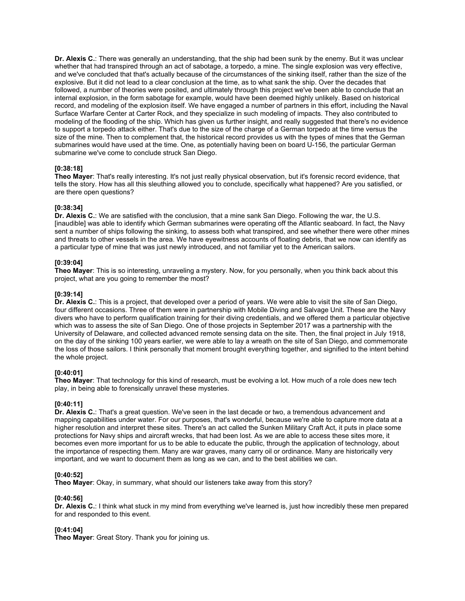**Dr. Alexis C.**: There was generally an understanding, that the ship had been sunk by the enemy. But it was unclear whether that had transpired through an act of sabotage, a torpedo, a mine. The single explosion was very effective, and we've concluded that that's actually because of the circumstances of the sinking itself, rather than the size of the explosive. But it did not lead to a clear conclusion at the time, as to what sank the ship. Over the decades that followed, a number of theories were posited, and ultimately through this project we've been able to conclude that an internal explosion, in the form sabotage for example, would have been deemed highly unlikely. Based on historical record, and modeling of the explosion itself. We have engaged a number of partners in this effort, including the Naval Surface Warfare Center at Carter Rock, and they specialize in such modeling of impacts. They also contributed to modeling of the flooding of the ship. Which has given us further insight, and really suggested that there's no evidence to support a torpedo attack either. That's due to the size of the charge of a German torpedo at the time versus the size of the mine. Then to complement that, the historical record provides us with the types of mines that the German submarines would have used at the time. One, as potentially having been on board U-156, the particular German submarine we've come to conclude struck San Diego.

#### **[0:38:18]**

**Theo Mayer**: That's really interesting. It's not just really physical observation, but it's forensic record evidence, that tells the story. How has all this sleuthing allowed you to conclude, specifically what happened? Are you satisfied, or are there open questions?

## **[0:38:34]**

**Dr. Alexis C.**: We are satisfied with the conclusion, that a mine sank San Diego. Following the war, the U.S. [inaudible] was able to identify which German submarines were operating off the Atlantic seaboard. In fact, the Navy sent a number of ships following the sinking, to assess both what transpired, and see whether there were other mines and threats to other vessels in the area. We have eyewitness accounts of floating debris, that we now can identify as a particular type of mine that was just newly introduced, and not familiar yet to the American sailors.

## **[0:39:04]**

**Theo Mayer**: This is so interesting, unraveling a mystery. Now, for you personally, when you think back about this project, what are you going to remember the most?

## **[0:39:14]**

**Dr. Alexis C.**: This is a project, that developed over a period of years. We were able to visit the site of San Diego, four different occasions. Three of them were in partnership with Mobile Diving and Salvage Unit. These are the Navy divers who have to perform qualification training for their diving credentials, and we offered them a particular objective which was to assess the site of San Diego. One of those projects in September 2017 was a partnership with the University of Delaware, and collected advanced remote sensing data on the site. Then, the final project in July 1918, on the day of the sinking 100 years earlier, we were able to lay a wreath on the site of San Diego, and commemorate the loss of those sailors. I think personally that moment brought everything together, and signified to the intent behind the whole project.

### **[0:40:01]**

**Theo Mayer**: That technology for this kind of research, must be evolving a lot. How much of a role does new tech play, in being able to forensically unravel these mysteries.

## **[0:40:11]**

**Dr. Alexis C.**: That's a great question. We've seen in the last decade or two, a tremendous advancement and mapping capabilities under water. For our purposes, that's wonderful, because we're able to capture more data at a higher resolution and interpret these sites. There's an act called the Sunken Military Craft Act, it puts in place some protections for Navy ships and aircraft wrecks, that had been lost. As we are able to access these sites more, it becomes even more important for us to be able to educate the public, through the application of technology, about the importance of respecting them. Many are war graves, many carry oil or ordinance. Many are historically very important, and we want to document them as long as we can, and to the best abilities we can.

#### **[0:40:52]**

**Theo Mayer**: Okay, in summary, what should our listeners take away from this story?

#### **[0:40:56]**

**Dr. Alexis C.**: I think what stuck in my mind from everything we've learned is, just how incredibly these men prepared for and responded to this event.

#### **[0:41:04]**

**Theo Mayer**: Great Story. Thank you for joining us.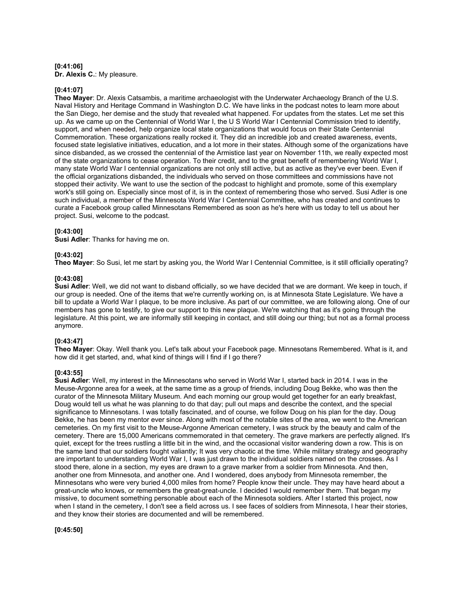#### **[0:41:06] Dr. Alexis C.**: My pleasure.

## **[0:41:07]**

**Theo Mayer**: Dr. Alexis Catsambis, a maritime archaeologist with the Underwater Archaeology Branch of the U.S. Naval History and Heritage Command in Washington D.C. We have links in the podcast notes to learn more about the San Diego, her demise and the study that revealed what happened. For updates from the states. Let me set this up. As we came up on the Centennial of World War I, the U S World War I Centennial Commission tried to identify, support, and when needed, help organize local state organizations that would focus on their State Centennial Commemoration. These organizations really rocked it. They did an incredible job and created awareness, events, focused state legislative initiatives, education, and a lot more in their states. Although some of the organizations have since disbanded, as we crossed the centennial of the Armistice last year on November 11th, we really expected most of the state organizations to cease operation. To their credit, and to the great benefit of remembering World War I, many state World War I centennial organizations are not only still active, but as active as they've ever been. Even if the official organizations disbanded, the individuals who served on those committees and commissions have not stopped their activity. We want to use the section of the podcast to highlight and promote, some of this exemplary work's still going on. Especially since most of it, is in the context of remembering those who served. Susi Adler is one such individual, a member of the Minnesota World War I Centennial Committee, who has created and continues to curate a Facebook group called Minnesotans Remembered as soon as he's here with us today to tell us about her project. Susi, welcome to the podcast.

#### **[0:43:00]**

**Susi Adler**: Thanks for having me on.

#### **[0:43:02]**

**Theo Mayer**: So Susi, let me start by asking you, the World War I Centennial Committee, is it still officially operating?

## **[0:43:08]**

**Susi Adler**: Well, we did not want to disband officially, so we have decided that we are dormant. We keep in touch, if our group is needed. One of the items that we're currently working on, is at Minnesota State Legislature. We have a bill to update a World War I plaque, to be more inclusive. As part of our committee, we are following along. One of our members has gone to testify, to give our support to this new plaque. We're watching that as it's going through the legislature. At this point, we are informally still keeping in contact, and still doing our thing; but not as a formal process anymore.

## **[0:43:47]**

**Theo Mayer**: Okay. Well thank you. Let's talk about your Facebook page. Minnesotans Remembered. What is it, and how did it get started, and, what kind of things will I find if I go there?

#### **[0:43:55]**

**Susi Adler**: Well, my interest in the Minnesotans who served in World War I, started back in 2014. I was in the Meuse-Argonne area for a week, at the same time as a group of friends, including Doug Bekke, who was then the curator of the Minnesota Military Museum. And each morning our group would get together for an early breakfast, Doug would tell us what he was planning to do that day; pull out maps and describe the context, and the special significance to Minnesotans. I was totally fascinated, and of course, we follow Doug on his plan for the day. Doug Bekke, he has been my mentor ever since. Along with most of the notable sites of the area, we went to the American cemeteries. On my first visit to the Meuse-Argonne American cemetery, I was struck by the beauty and calm of the cemetery. There are 15,000 Americans commemorated in that cemetery. The grave markers are perfectly aligned. It's quiet, except for the trees rustling a little bit in the wind, and the occasional visitor wandering down a row. This is on the same land that our soldiers fought valiantly; It was very chaotic at the time. While military strategy and geography are important to understanding World War I, I was just drawn to the individual soldiers named on the crosses. As I stood there, alone in a section, my eyes are drawn to a grave marker from a soldier from Minnesota. And then, another one from Minnesota, and another one. And I wondered, does anybody from Minnesota remember, the Minnesotans who were very buried 4,000 miles from home? People know their uncle. They may have heard about a great-uncle who knows, or remembers the great-great-uncle. I decided I would remember them. That began my missive, to document something personable about each of the Minnesota soldiers. After I started this project, now when I stand in the cemetery, I don't see a field across us. I see faces of soldiers from Minnesota, I hear their stories, and they know their stories are documented and will be remembered.

## **[0:45:50]**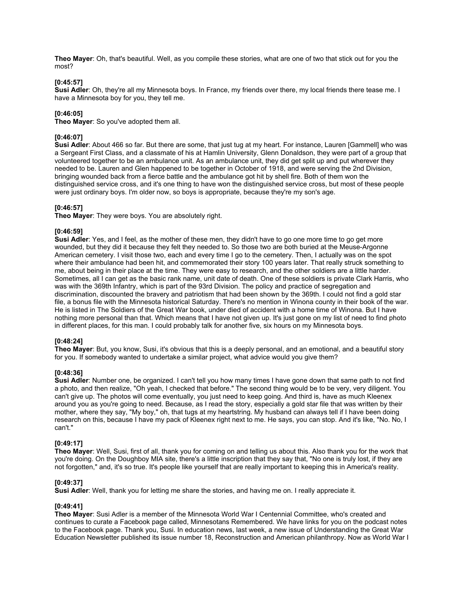**Theo Mayer**: Oh, that's beautiful. Well, as you compile these stories, what are one of two that stick out for you the most?

### **[0:45:57]**

**Susi Adler**: Oh, they're all my Minnesota boys. In France, my friends over there, my local friends there tease me. I have a Minnesota boy for you, they tell me.

## **[0:46:05]**

**Theo Mayer**: So you've adopted them all.

## **[0:46:07]**

**Susi Adler**: About 466 so far. But there are some, that just tug at my heart. For instance, Lauren [Gammell] who was a Sergeant First Class, and a classmate of his at Hamlin University, Glenn Donaldson, they were part of a group that volunteered together to be an ambulance unit. As an ambulance unit, they did get split up and put wherever they needed to be. Lauren and Glen happened to be together in October of 1918, and were serving the 2nd Division, bringing wounded back from a fierce battle and the ambulance got hit by shell fire. Both of them won the distinguished service cross, and it's one thing to have won the distinguished service cross, but most of these people were just ordinary boys. I'm older now, so boys is appropriate, because they're my son's age.

## **[0:46:57]**

**Theo Mayer**: They were boys. You are absolutely right.

## **[0:46:59]**

**Susi Adler**: Yes, and I feel, as the mother of these men, they didn't have to go one more time to go get more wounded, but they did it because they felt they needed to. So those two are both buried at the Meuse-Argonne American cemetery. I visit those two, each and every time I go to the cemetery. Then, I actually was on the spot where their ambulance had been hit, and commemorated their story 100 years later. That really struck something to me, about being in their place at the time. They were easy to research, and the other soldiers are a little harder. Sometimes, all I can get as the basic rank name, unit date of death. One of these soldiers is private Clark Harris, who was with the 369th Infantry, which is part of the 93rd Division. The policy and practice of segregation and discrimination, discounted the bravery and patriotism that had been shown by the 369th. I could not find a gold star file, a bonus file with the Minnesota historical Saturday. There's no mention in Winona county in their book of the war. He is listed in The Soldiers of the Great War book, under died of accident with a home time of Winona. But I have nothing more personal than that. Which means that I have not given up. It's just gone on my list of need to find photo in different places, for this man. I could probably talk for another five, six hours on my Minnesota boys.

#### **[0:48:24]**

**Theo Mayer**: But, you know, Susi, it's obvious that this is a deeply personal, and an emotional, and a beautiful story for you. If somebody wanted to undertake a similar project, what advice would you give them?

#### **[0:48:36]**

**Susi Adler**: Number one, be organized. I can't tell you how many times I have gone down that same path to not find a photo, and then realize, "Oh yeah, I checked that before." The second thing would be to be very, very diligent. You can't give up. The photos will come eventually, you just need to keep going. And third is, have as much Kleenex around you as you're going to need. Because, as I read the story, especially a gold star file that was written by their mother, where they say, "My boy," oh, that tugs at my heartstring. My husband can always tell if I have been doing research on this, because I have my pack of Kleenex right next to me. He says, you can stop. And it's like, "No. No, I can't."

#### **[0:49:17]**

**Theo Mayer**: Well, Susi, first of all, thank you for coming on and telling us about this. Also thank you for the work that you're doing. On the Doughboy MIA site, there's a little inscription that they say that, "No one is truly lost, if they are not forgotten," and, it's so true. It's people like yourself that are really important to keeping this in America's reality.

#### **[0:49:37]**

**Susi Adler**: Well, thank you for letting me share the stories, and having me on. I really appreciate it.

#### **[0:49:41]**

**Theo Mayer**: Susi Adler is a member of the Minnesota World War I Centennial Committee, who's created and continues to curate a Facebook page called, Minnesotans Remembered. We have links for you on the podcast notes to the Facebook page. Thank you, Susi. In education news, last week, a new issue of Understanding the Great War Education Newsletter published its issue number 18, Reconstruction and American philanthropy. Now as World War I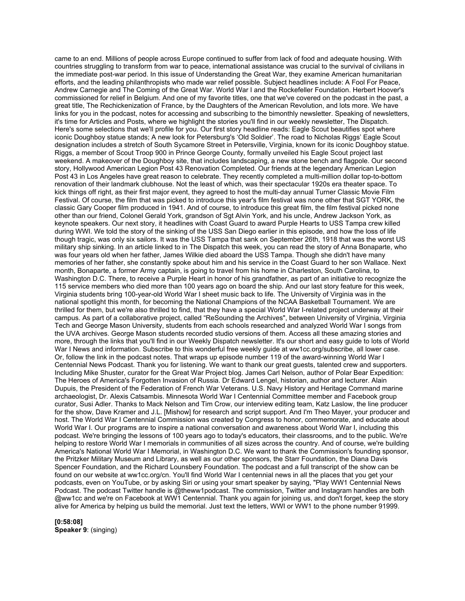came to an end. Millions of people across Europe continued to suffer from lack of food and adequate housing. With countries struggling to transform from war to peace, international assistance was crucial to the survival of civilians in the immediate post-war period. In this issue of Understanding the Great War, they examine American humanitarian efforts, and the leading philanthropists who made war relief possible. Subject headlines include: A Fool For Peace, Andrew Carnegie and The Coming of the Great War. World War I and the Rockefeller Foundation. Herbert Hoover's commissioned for relief in Belgium. And one of my favorite titles, one that we've covered on the podcast in the past, a great title, The Rechickenization of France, by the Daughters of the American Revolution, and lots more. We have links for you in the podcast, notes for accessing and subscribing to the bimonthly newsletter. Speaking of newsletters, it's time for Articles and Posts, where we highlight the stories you'll find in our weekly newsletter, The Dispatch. Here's some selections that we'll profile for you. Our first story headline reads: Eagle Scout beautifies spot where iconic Doughboy statue stands; A new look for Petersburg's 'Old Soldier'. The road to Nicholas Riggs' Eagle Scout designation includes a stretch of South Sycamore Street in Petersville, Virginia, known for its iconic Doughboy statue. Riggs, a member of Scout Troop 900 in Prince George County, formally unveiled his Eagle Scout project last weekend. A makeover of the Doughboy site, that includes landscaping, a new stone bench and flagpole. Our second story, Hollywood American Legion Post 43 Renovation Completed. Our friends at the legendary American Legion Post 43 in Los Angeles have great reason to celebrate. They recently completed a multi-million dollar top-to-bottom renovation of their landmark clubhouse. Not the least of which, was their spectacular 1920s era theater space. To kick things off right, as their first major event, they agreed to host the multi-day annual Turner Classic Movie Film Festival. Of course, the film that was picked to introduce this year's film festival was none other that SGT YORK, the classic Gary Cooper film produced in 1941. And of course, to introduce this great film, the film festival picked none other than our friend, Colonel Gerald York, grandson of Sgt Alvin York, and his uncle, Andrew Jackson York, as keynote speakers. Our next story, it headlines with Coast Guard to award Purple Hearts to USS Tampa crew killed during WWI. We told the story of the sinking of the USS San Diego earlier in this episode, and how the loss of life though tragic, was only six sailors. It was the USS Tampa that sank on September 26th, 1918 that was the worst US military ship sinking. In an article linked to in The Dispatch this week, you can read the story of Anna Bonaparte, who was four years old when her father, James Wilkie died aboard the USS Tampa. Though she didn't have many memories of her father, she constantly spoke about him and his service in the Coast Guard to her son Wallace. Next month, Bonaparte, a former Army captain, is going to travel from his home in Charleston, South Carolina, to Washington D.C. There, to receive a Purple Heart in honor of his grandfather, as part of an initiative to recognize the 115 service members who died more than 100 years ago on board the ship. And our last story feature for this week, Virginia students bring 100-year-old World War I sheet music back to life. The University of Virginia was in the national spotlight this month, for becoming the National Champions of the NCAA Basketball Tournament. We are thrilled for them, but we're also thrilled to find, that they have a special World War I-related project underway at their campus. As part of a collaborative project, called "ReSounding the Archives", between University of Virginia, Virginia Tech and George Mason University, students from each schools researched and analyzed World War I songs from the UVA archives. George Mason students recorded studio versions of them. Access all these amazing stories and more, through the links that you'll find in our Weekly Dispatch newsletter. It's our short and easy guide to lots of World War I News and information. Subscribe to this wonderful free weekly guide at ww1cc.org/subscribe, all lower case. Or, follow the link in the podcast notes. That wraps up episode number 119 of the award-winning World War I Centennial News Podcast. Thank you for listening. We want to thank our great guests, talented crew and supporters. Including Mike Shuster, curator for the Great War Project blog. James Carl Nelson, author of Polar Bear Expedition: The Heroes of America's Forgotten Invasion of Russia. Dr Edward Lengel, historian, author and lecturer. Alain Dupuis, the President of the Federation of French War Veterans. U.S. Navy History and Heritage Command marine archaeologist, Dr. Alexis Catsambis. Minnesota World War I Centennial Committee member and Facebook group curator, Susi Adler. Thanks to Mack Nelson and Tim Crow, our interview editing team, Katz Laslow, the line producer for the show, Dave Kramer and J.L. [Mishow] for research and script support. And I'm Theo Mayer, your producer and host. The World War I Centennial Commission was created by Congress to honor, commemorate, and educate about World War I. Our programs are to inspire a national conversation and awareness about World War I, including this podcast. We're bringing the lessons of 100 years ago to today's educators, their classrooms, and to the public. We're helping to restore World War I memorials in communities of all sizes across the country. And of course, we're building America's National World War I Memorial, in Washington D.C. We want to thank the Commission's founding sponsor, the Pritzker Military Museum and Library, as well as our other sponsors, the Starr Foundation, the Diana Davis Spencer Foundation, and the Richard Lounsbery Foundation. The podcast and a full transcript of the show can be found on our website at ww1cc.org/cn. You'll find World War I centennial news in all the places that you get your podcasts, even on YouTube, or by asking Siri or using your smart speaker by saying, "Play WW1 Centennial News Podcast. The podcast Twitter handle is @theww1podcast. The commission, Twitter and Instagram handles are both @ww1cc and we're on Facebook at WW1 Centennial. Thank you again for joining us, and don't forget, keep the story alive for America by helping us build the memorial. Just text the letters, WWI or WW1 to the phone number 91999.

**[0:58:08] Speaker 9**: (singing)